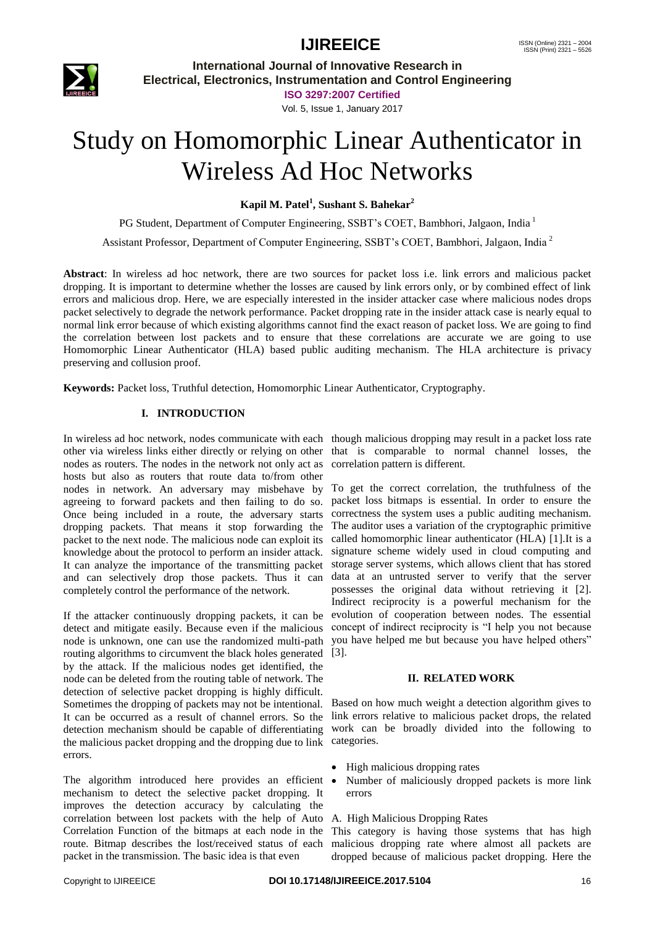

**International Journal of Innovative Research in Electrical, Electronics, Instrumentation and Control Engineering**

> **ISO 3297:2007 Certified** Vol. 5, Issue 1, January 2017

# Study on Homomorphic Linear Authenticator in Wireless Ad Hoc Networks

**Kapil M. Patel<sup>1</sup> , Sushant S. Bahekar<sup>2</sup>**

PG Student, Department of Computer Engineering, SSBT's COET, Bambhori, Jalgaon, India <sup>1</sup>

Assistant Professor, Department of Computer Engineering, SSBT's COET, Bambhori, Jalgaon, India<sup>2</sup>

**Abstract**: In wireless ad hoc network, there are two sources for packet loss i.e. link errors and malicious packet dropping. It is important to determine whether the losses are caused by link errors only, or by combined effect of link errors and malicious drop. Here, we are especially interested in the insider attacker case where malicious nodes drops packet selectively to degrade the network performance. Packet dropping rate in the insider attack case is nearly equal to normal link error because of which existing algorithms cannot find the exact reason of packet loss. We are going to find the correlation between lost packets and to ensure that these correlations are accurate we are going to use Homomorphic Linear Authenticator (HLA) based public auditing mechanism. The HLA architecture is privacy preserving and collusion proof.

**Keywords:** Packet loss, Truthful detection, Homomorphic Linear Authenticator, Cryptography.

### **I. INTRODUCTION**

In wireless ad hoc network, nodes communicate with each though malicious dropping may result in a packet loss rate other via wireless links either directly or relying on other that is comparable to normal channel losses, the nodes as routers. The nodes in the network not only act as correlation pattern is different. hosts but also as routers that route data to/from other nodes in network. An adversary may misbehave by To get the correct correlation, the truthfulness of the agreeing to forward packets and then failing to do so. Once being included in a route, the adversary starts dropping packets. That means it stop forwarding the packet to the next node. The malicious node can exploit its knowledge about the protocol to perform an insider attack. It can analyze the importance of the transmitting packet and can selectively drop those packets. Thus it can completely control the performance of the network.

If the attacker continuously dropping packets, it can be detect and mitigate easily. Because even if the malicious node is unknown, one can use the randomized multi-path routing algorithms to circumvent the black holes generated by the attack. If the malicious nodes get identified, the node can be deleted from the routing table of network. The detection of selective packet dropping is highly difficult. Sometimes the dropping of packets may not be intentional. It can be occurred as a result of channel errors. So the link errors relative to malicious packet drops, the related detection mechanism should be capable of differentiating work can be broadly divided into the following to the malicious packet dropping and the dropping due to link categories. errors.

The algorithm introduced here provides an efficient  $\bullet$ mechanism to detect the selective packet dropping. It improves the detection accuracy by calculating the correlation between lost packets with the help of Auto Correlation Function of the bitmaps at each node in the route. Bitmap describes the lost/received status of each packet in the transmission. The basic idea is that even

packet loss bitmaps is essential. In order to ensure the correctness the system uses a public auditing mechanism. The auditor uses a variation of the cryptographic primitive called homomorphic linear authenticator (HLA) [1].It is a signature scheme widely used in cloud computing and storage server systems, which allows client that has stored data at an untrusted server to verify that the server possesses the original data without retrieving it [2]. Indirect reciprocity is a powerful mechanism for the evolution of cooperation between nodes. The essential concept of indirect reciprocity is "I help you not because you have helped me but because you have helped others" [3].

### **II. RELATED WORK**

Based on how much weight a detection algorithm gives to

- High malicious dropping rates
- Number of maliciously dropped packets is more link errors

### A. High Malicious Dropping Rates

This category is having those systems that has high malicious dropping rate where almost all packets are dropped because of malicious packet dropping. Here the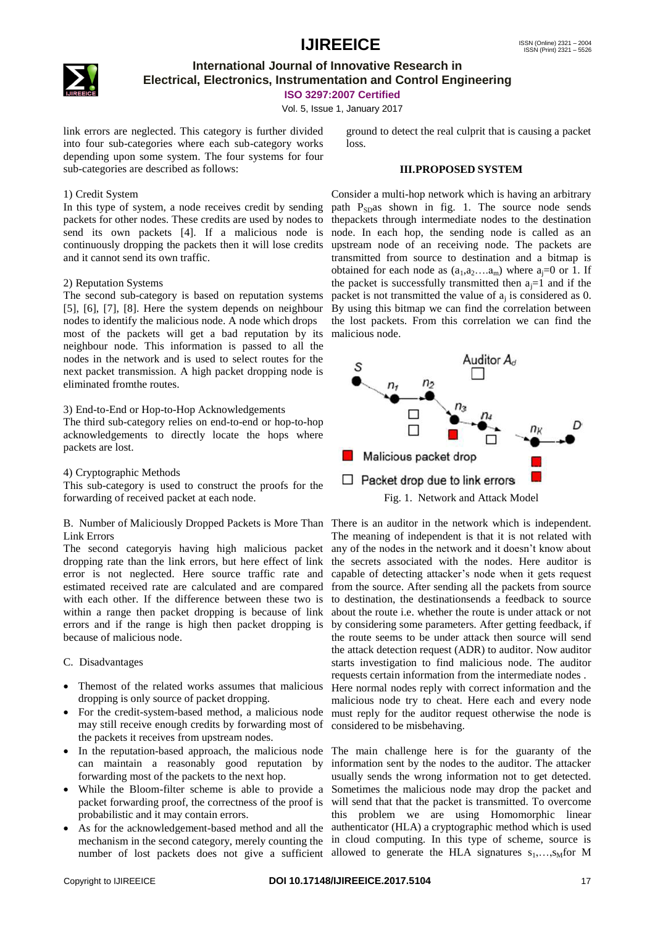

### **International Journal of Innovative Research in Electrical, Electronics, Instrumentation and Control Engineering**

**ISO 3297:2007 Certified**

Vol. 5, Issue 1, January 2017

link errors are neglected. This category is further divided into four sub-categories where each sub-category works depending upon some system. The four systems for four sub-categories are described as follows:

### 1) Credit System

In this type of system, a node receives credit by sending packets for other nodes. These credits are used by nodes to send its own packets [4]. If a malicious node is continuously dropping the packets then it will lose credits and it cannot send its own traffic.

#### 2) Reputation Systems

The second sub-category is based on reputation systems [5], [6], [7], [8]. Here the system depends on neighbour nodes to identify the malicious node. A node which drops most of the packets will get a bad reputation by its neighbour node. This information is passed to all the nodes in the network and is used to select routes for the next packet transmission. A high packet dropping node is eliminated fromthe routes.

### 3) End-to-End or Hop-to-Hop Acknowledgements

The third sub-category relies on end-to-end or hop-to-hop acknowledgements to directly locate the hops where packets are lost.

#### 4) Cryptographic Methods

This sub-category is used to construct the proofs for the forwarding of received packet at each node.

### B. Number of Maliciously Dropped Packets is More Than There is an auditor in the network which is independent. Link Errors

The second categoryis having high malicious packet dropping rate than the link errors, but here effect of link error is not neglected. Here source traffic rate and estimated received rate are calculated and are compared with each other. If the difference between these two is within a range then packet dropping is because of link errors and if the range is high then packet dropping is because of malicious node.

### C. Disadvantages

- Themost of the related works assumes that malicious dropping is only source of packet dropping.
- For the credit-system-based method, a malicious node may still receive enough credits by forwarding most of the packets it receives from upstream nodes.
- can maintain a reasonably good reputation by forwarding most of the packets to the next hop.
- While the Bloom-filter scheme is able to provide a packet forwarding proof, the correctness of the proof is probabilistic and it may contain errors.
- As for the acknowledgement-based method and all the number of lost packets does not give a sufficient allowed to generate the HLA signatures  $s_1, \ldots, s_M$  for M

### **III.PROPOSED SYSTEM**

Consider a multi-hop network which is having an arbitrary path  $P_{SD}$ as shown in fig. 1. The source node sends thepackets through intermediate nodes to the destination node. In each hop, the sending node is called as an upstream node of an receiving node. The packets are transmitted from source to destination and a bitmap is obtained for each node as  $(a_1, a_2, \ldots, a_m)$  where  $a_j = 0$  or 1. If the packet is successfully transmitted then  $a_i=1$  and if the packet is not transmitted the value of  $a_j$  is considered as 0. By using this bitmap we can find the correlation between the lost packets. From this correlation we can find the malicious node.



The meaning of independent is that it is not related with any of the nodes in the network and it doesn't know about the secrets associated with the nodes. Here auditor is capable of detecting attacker's node when it gets request from the source. After sending all the packets from source to destination, the destinationsends a feedback to source about the route i.e. whether the route is under attack or not by considering some parameters. After getting feedback, if the route seems to be under attack then source will send the attack detection request (ADR) to auditor. Now auditor starts investigation to find malicious node. The auditor requests certain information from the intermediate nodes . Here normal nodes reply with correct information and the malicious node try to cheat. Here each and every node must reply for the auditor request otherwise the node is considered to be misbehaving.

• In the reputation-based approach, the malicious node The main challenge here is for the guaranty of the mechanism in the second category, merely counting the in cloud computing. In this type of scheme, source is information sent by the nodes to the auditor. The attacker usually sends the wrong information not to get detected. Sometimes the malicious node may drop the packet and will send that that the packet is transmitted. To overcome this problem we are using Homomorphic linear authenticator (HLA) a cryptographic method which is used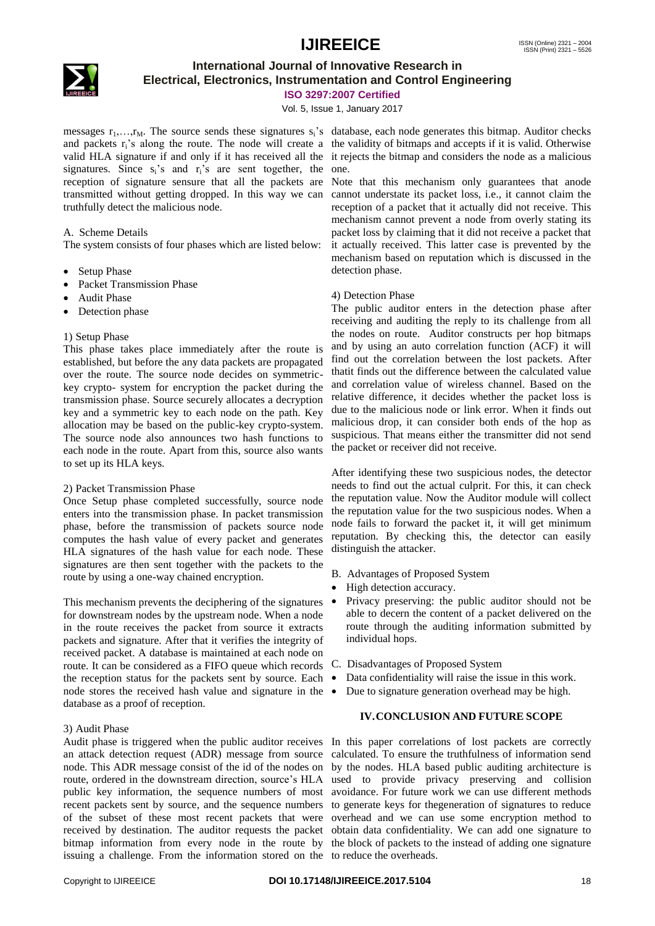

### **International Journal of Innovative Research in Electrical, Electronics, Instrumentation and Control Engineering**

**ISO 3297:2007 Certified**

Vol. 5, Issue 1, January 2017

messages  $r_1, \ldots, r_M$ . The source sends these signatures  $s_i$ 's database, each node generates this bitmap. Auditor checks and packets  $r_i$ 's along the route. The node will create a the validity of bitmaps and accepts if it is valid. Otherwise valid HLA signature if and only if it has received all the it rejects the bitmap and considers the node as a malicious signatures. Since  $s_i$ 's and  $r_i$ 's are sent together, the reception of signature sensure that all the packets are transmitted without getting dropped. In this way we can truthfully detect the malicious node.

### A. Scheme Details

The system consists of four phases which are listed below:

- Setup Phase
- Packet Transmission Phase
- Audit Phase
- Detection phase

### 1) Setup Phase

This phase takes place immediately after the route is established, but before the any data packets are propagated over the route. The source node decides on symmetrickey crypto- system for encryption the packet during the transmission phase. Source securely allocates a decryption key and a symmetric key to each node on the path. Key allocation may be based on the public-key crypto-system. The source node also announces two hash functions to each node in the route. Apart from this, source also wants to set up its HLA keys.

### 2) Packet Transmission Phase

Once Setup phase completed successfully, source node enters into the transmission phase. In packet transmission phase, before the transmission of packets source node computes the hash value of every packet and generates HLA signatures of the hash value for each node. These signatures are then sent together with the packets to the route by using a one-way chained encryption.

This mechanism prevents the deciphering of the signatures for downstream nodes by the upstream node. When a node in the route receives the packet from source it extracts packets and signature. After that it verifies the integrity of received packet. A database is maintained at each node on route. It can be considered as a FIFO queue which records the reception status for the packets sent by source. Each node stores the received hash value and signature in the database as a proof of reception.

### 3) Audit Phase

Audit phase is triggered when the public auditor receives In this paper correlations of lost packets are correctly an attack detection request (ADR) message from source calculated. To ensure the truthfulness of information send public key information, the sequence numbers of most avoidance. For future work we can use different methods recent packets sent by source, and the sequence numbers to generate keys for thegeneration of signatures to reduce of the subset of these most recent packets that were overhead and we can use some encryption method to received by destination. The auditor requests the packet obtain data confidentiality. We can add one signature to bitmap information from every node in the route by the block of packets to the instead of adding one signature issuing a challenge. From the information stored on the to reduce the overheads.

Note that this mechanism only guarantees that anode cannot understate its packet loss, i.e., it cannot claim the reception of a packet that it actually did not receive. This mechanism cannot prevent a node from overly stating its packet loss by claiming that it did not receive a packet that it actually received. This latter case is prevented by the mechanism based on reputation which is discussed in the detection phase.

### 4) Detection Phase

The public auditor enters in the detection phase after receiving and auditing the reply to its challenge from all the nodes on route. Auditor constructs per hop bitmaps and by using an auto correlation function (ACF) it will find out the correlation between the lost packets. After thatit finds out the difference between the calculated value and correlation value of wireless channel. Based on the relative difference, it decides whether the packet loss is due to the malicious node or link error. When it finds out malicious drop, it can consider both ends of the hop as suspicious. That means either the transmitter did not send the packet or receiver did not receive.

After identifying these two suspicious nodes, the detector needs to find out the actual culprit. For this, it can check the reputation value. Now the Auditor module will collect the reputation value for the two suspicious nodes. When a node fails to forward the packet it, it will get minimum reputation. By checking this, the detector can easily distinguish the attacker.

- B. Advantages of Proposed System
- High detection accuracy.
- Privacy preserving: the public auditor should not be able to decern the content of a packet delivered on the route through the auditing information submitted by individual hops.
- C. Disadvantages of Proposed System
- Data confidentiality will raise the issue in this work.
- Due to signature generation overhead may be high.

### **IV.CONCLUSION AND FUTURE SCOPE**

node. This ADR message consist of the id of the nodes on by the nodes. HLA based public auditing architecture is route, ordered in the downstream direction, source's HLA used to provide privacy preserving and collision